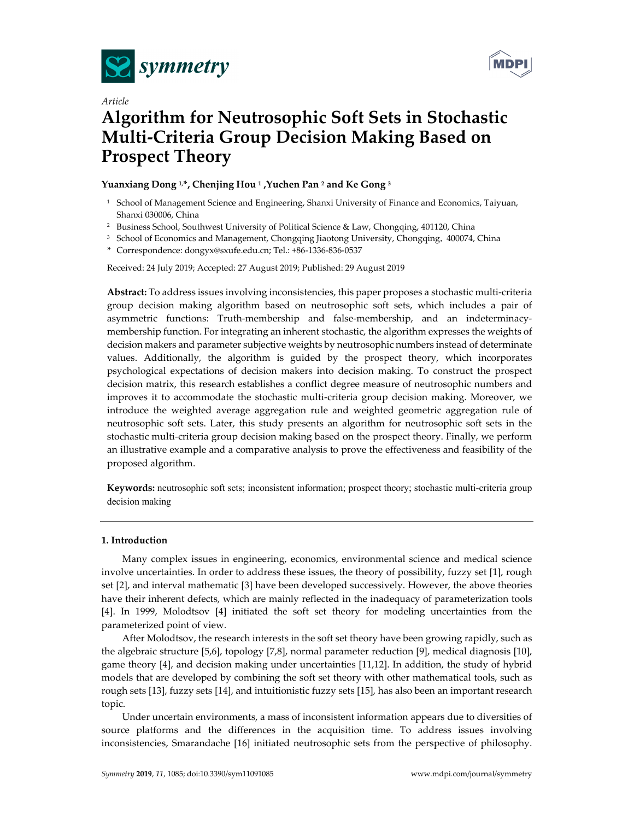



# *Article*  **Algorithm for Neutrosophic Soft Sets in Stochastic Multi-Criteria Group Decision Making Based on Prospect Theory**

# **Yuanxiang Dong 1,\*, Chenjing Hou 1 ,Yuchen Pan 2 and Ke Gong 3**

- <sup>1</sup> School of Management Science and Engineering, Shanxi University of Finance and Economics, Taiyuan, Shanxi 030006, China
- <sup>2</sup> Business School, Southwest University of Political Science & Law, Chongqing, 401120, China
- <sup>3</sup> School of Economics and Management, Chongqing Jiaotong University, Chongqing, 400074, China

**\*** Correspondence: dongyx@sxufe.edu.cn; Tel.: +86-1336-836-0537

Received: 24 July 2019; Accepted: 27 August 2019; Published: 29 August 2019

**Abstract:** To address issues involving inconsistencies, this paper proposes a stochastic multi-criteria group decision making algorithm based on neutrosophic soft sets, which includes a pair of asymmetric functions: Truth-membership and false-membership, and an indeterminacymembership function. For integrating an inherent stochastic, the algorithm expresses the weights of decision makers and parameter subjective weights by neutrosophic numbers instead of determinate values. Additionally, the algorithm is guided by the prospect theory, which incorporates psychological expectations of decision makers into decision making. To construct the prospect decision matrix, this research establishes a conflict degree measure of neutrosophic numbers and improves it to accommodate the stochastic multi-criteria group decision making. Moreover, we introduce the weighted average aggregation rule and weighted geometric aggregation rule of neutrosophic soft sets. Later, this study presents an algorithm for neutrosophic soft sets in the stochastic multi-criteria group decision making based on the prospect theory. Finally, we perform an illustrative example and a comparative analysis to prove the effectiveness and feasibility of the proposed algorithm.

**Keywords:** neutrosophic soft sets; inconsistent information; prospect theory; stochastic multi-criteria group decision making

## **1. Introduction**

Many complex issues in engineering, economics, environmental science and medical science involve uncertainties. In order to address these issues, the theory of possibility, fuzzy set [1], rough set [2], and interval mathematic [3] have been developed successively. However, the above theories have their inherent defects, which are mainly reflected in the inadequacy of parameterization tools [4]. In 1999, Molodtsov [4] initiated the soft set theory for modeling uncertainties from the parameterized point of view.

After Molodtsov, the research interests in the soft set theory have been growing rapidly, such as the algebraic structure [5,6], topology [7,8], normal parameter reduction [9], medical diagnosis [10], game theory [4], and decision making under uncertainties [11,12]. In addition, the study of hybrid models that are developed by combining the soft set theory with other mathematical tools, such as rough sets [13], fuzzy sets [14], and intuitionistic fuzzy sets [15], has also been an important research topic.

Under uncertain environments, a mass of inconsistent information appears due to diversities of source platforms and the differences in the acquisition time. To address issues involving inconsistencies, Smarandache [16] initiated neutrosophic sets from the perspective of philosophy.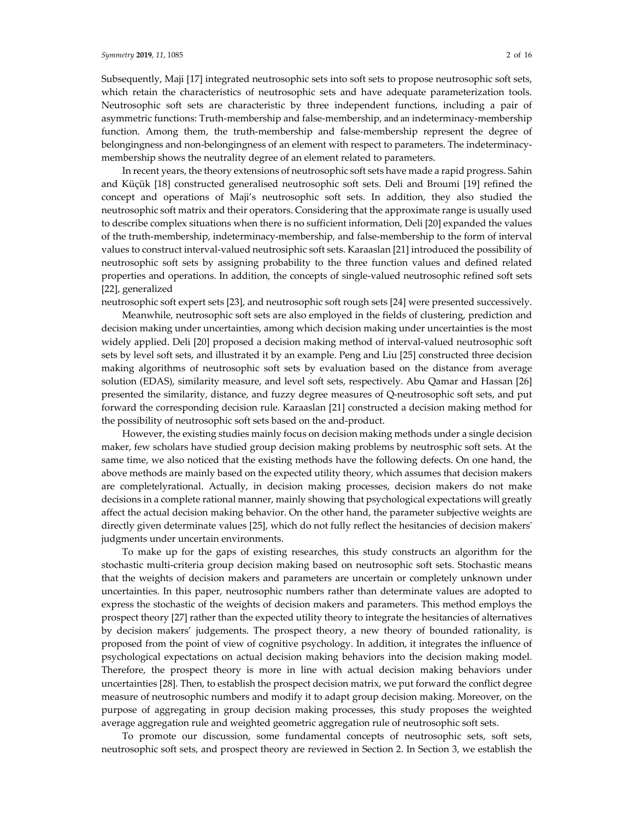Subsequently, Maji [17] integrated neutrosophic sets into soft sets to propose neutrosophic soft sets, which retain the characteristics of neutrosophic sets and have adequate parameterization tools. Neutrosophic soft sets are characteristic by three independent functions, including a pair of asymmetric functions: Truth-membership and false-membership, and an indeterminacy-membership function. Among them, the truth-membership and false-membership represent the degree of belongingness and non-belongingness of an element with respect to parameters. The indeterminacymembership shows the neutrality degree of an element related to parameters.

In recent years, the theory extensions of neutrosophic soft sets have made a rapid progress. Sahin and Küçük [18] constructed generalised neutrosophic soft sets. Deli and Broumi [19] refined the concept and operations of Maji's neutrosophic soft sets. In addition, they also studied the neutrosophic soft matrix and their operators. Considering that the approximate range is usually used to describe complex situations when there is no sufficient information, Deli [20] expanded the values of the truth-membership, indeterminacy-membership, and false-membership to the form of interval values to construct interval-valued neutrosiphic soft sets. Karaaslan [21] introduced the possibility of neutrosophic soft sets by assigning probability to the three function values and defined related properties and operations. In addition, the concepts of single-valued neutrosophic refined soft sets [22], generalized

neutrosophic soft expert sets [23], and neutrosophic soft rough sets [24] were presented successively.

Meanwhile, neutrosophic soft sets are also employed in the fields of clustering, prediction and decision making under uncertainties, among which decision making under uncertainties is the most widely applied. Deli [20] proposed a decision making method of interval-valued neutrosophic soft sets by level soft sets, and illustrated it by an example. Peng and Liu [25] constructed three decision making algorithms of neutrosophic soft sets by evaluation based on the distance from average solution (EDAS), similarity measure, and level soft sets, respectively. Abu Qamar and Hassan [26] presented the similarity, distance, and fuzzy degree measures of Q-neutrosophic soft sets, and put forward the corresponding decision rule. Karaaslan [21] constructed a decision making method for the possibility of neutrosophic soft sets based on the and-product.

However, the existing studies mainly focus on decision making methods under a single decision maker, few scholars have studied group decision making problems by neutrosphic soft sets. At the same time, we also noticed that the existing methods have the following defects. On one hand, the above methods are mainly based on the expected utility theory, which assumes that decision makers are completelyrational. Actually, in decision making processes, decision makers do not make decisions in a complete rational manner, mainly showing that psychological expectations will greatly affect the actual decision making behavior. On the other hand, the parameter subjective weights are directly given determinate values [25], which do not fully reflect the hesitancies of decision makers' judgments under uncertain environments.

To make up for the gaps of existing researches, this study constructs an algorithm for the stochastic multi-criteria group decision making based on neutrosophic soft sets. Stochastic means that the weights of decision makers and parameters are uncertain or completely unknown under uncertainties. In this paper, neutrosophic numbers rather than determinate values are adopted to express the stochastic of the weights of decision makers and parameters. This method employs the prospect theory [27] rather than the expected utility theory to integrate the hesitancies of alternatives by decision makers' judgements. The prospect theory, a new theory of bounded rationality, is proposed from the point of view of cognitive psychology. In addition, it integrates the influence of psychological expectations on actual decision making behaviors into the decision making model. Therefore, the prospect theory is more in line with actual decision making behaviors under uncertainties [28]. Then, to establish the prospect decision matrix, we put forward the conflict degree measure of neutrosophic numbers and modify it to adapt group decision making. Moreover, on the purpose of aggregating in group decision making processes, this study proposes the weighted average aggregation rule and weighted geometric aggregation rule of neutrosophic soft sets.

To promote our discussion, some fundamental concepts of neutrosophic sets, soft sets, neutrosophic soft sets, and prospect theory are reviewed in Section 2. In Section 3, we establish the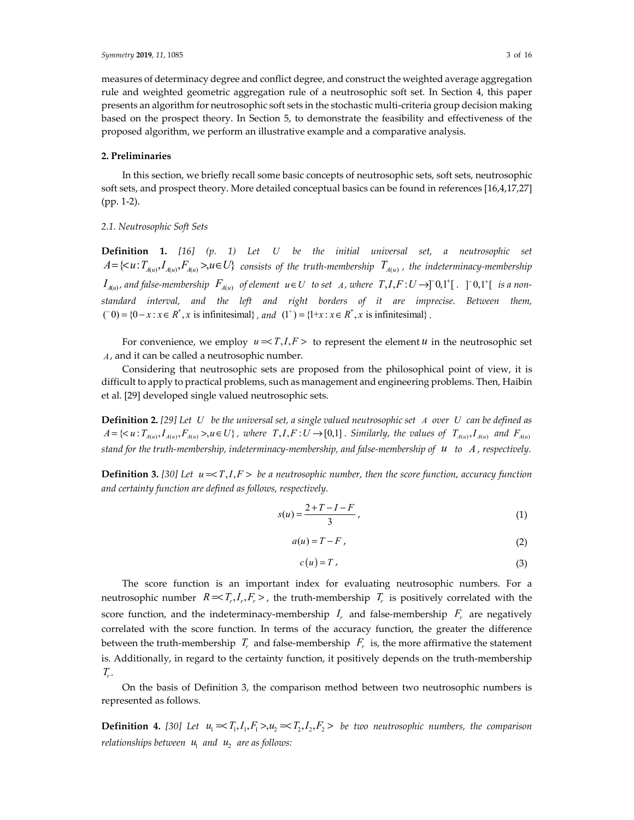measures of determinacy degree and conflict degree, and construct the weighted average aggregation rule and weighted geometric aggregation rule of a neutrosophic soft set. In Section 4, this paper presents an algorithm for neutrosophic soft sets in the stochastic multi-criteria group decision making based on the prospect theory. In Section 5, to demonstrate the feasibility and effectiveness of the proposed algorithm, we perform an illustrative example and a comparative analysis.

## **2. Preliminaries**

In this section, we briefly recall some basic concepts of neutrosophic sets, soft sets, neutrosophic soft sets, and prospect theory. More detailed conceptual basics can be found in references [16,4,17,27] (pp. 1-2).

## *2.1. Neutrosophic Soft Sets*

**Definition 1.** *[16] (p. 1) Let U be the initial universal set, a neutrosophic set*   $A = \{ \langle u : T_{A(u)}, I_{A(u)}, F_{A(u)} \rangle, u \in U \}$  consists of the truth-membership  $T_{A(u)}$ , the indeterminacy-membership *I*<sub> $A$ (*u*)</sub>, and false-membership  $F$ <sub> $A$ (*u*)</sub> of element  $u ∈ U$  to set *A*, where  $T$ ,*I*,*F* :  $U$  →[<sup>−</sup>0,1<sup>+</sup>[  $\cdot$  |  $\cdot$  |  $\cdot$  |  $\cdot$  |  $\cdot$  |  $\cdot$  |  $\cdot$  |  $\cdot$  |  $\cdot$  |  $\cdot$  |  $\cdot$  |  $\cdot$  |  $\cdot$  |  $\cdot$  |  $\cdot$  | *standard interval, and the left and right borders of it are imprecise. Between them,*  $(0 - 0) = {0 - x : x \in R^*$ , *x* is infinitesimal}, and  $(1^+) = {1 + x : x \in R^*}$ , *x* is infinitesimal}.

For convenience, we employ  $u = \langle T, I, F \rangle$  to represent the element *u* in the neutrosophic set *A*, and it can be called a neutrosophic number.

Considering that neutrosophic sets are proposed from the philosophical point of view, it is difficult to apply to practical problems, such as management and engineering problems. Then, Haibin et al. [29] developed single valued neutrosophic sets.

**Definition 2.** *[29] Let U be the universal set, a single valued neutrosophic set A over U can be defined as*   $A = \{ \langle u : T_{A(u)}, I_{A(u)}, F_{A(u)} \rangle, u \in U \}$ , where  $T, I, F: U \to [0,1]$ . Similarly, the values of  $T_{A(u)}, I_{A(u)}$  and  $F_{A(u)}$ *stand for the truth-membership, indeterminacy-membership, and false-membership of u to A , respectively.*

**Definition 3.** [30] Let  $u = T, I, F > be a$  neutrosophic number, then the score function, accuracy function *and certainty function are defined as follows, respectively.* 

$$
s(u) = \frac{2 + T - I - F}{3},
$$
\n(1)

$$
a(u) = T - F \tag{2}
$$

$$
c(u) = T \tag{3}
$$

The score function is an important index for evaluating neutrosophic numbers. For a neutrosophic number  $R = \langle T_r, I_r, F_r \rangle$ , the truth-membership  $T_r$  is positively correlated with the score function, and the indeterminacy-membership  $I_r$  and false-membership  $F_r$  are negatively correlated with the score function. In terms of the accuracy function, the greater the difference between the truth-membership  $T_r$  and false-membership  $F_r$  is, the more affirmative the statement is. Additionally, in regard to the certainty function, it positively depends on the truth-membership  $T_r$ .

On the basis of Definition 3, the comparison method between two neutrosophic numbers is represented as follows.

**Definition 4.** [30] Let  $u_1 \leq T_1, I_1, F_1 > u_2 \leq T_2, I_2, F_2 >$  be two neutrosophic numbers, the comparison *relationships between*  $u_1$  *and*  $u_2$  *are as follows:*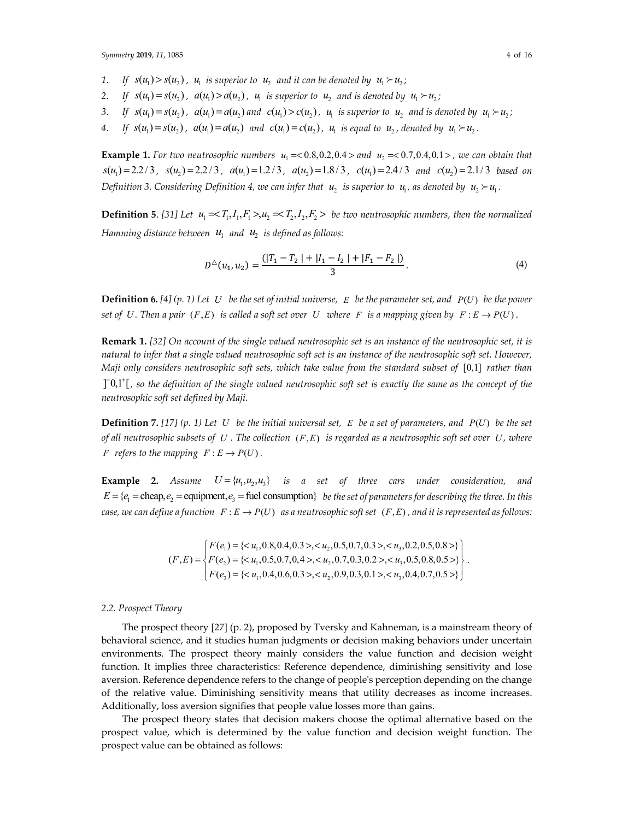- 1. If  $s(u_1) > s(u_2)$ ,  $u_1$  is superior to  $u_2$  and it can be denoted by  $u_1 \succ u_2$ ;
- 2. If  $s(u_1) = s(u_2)$ ,  $a(u_1) > a(u_2)$ ,  $u_1$  is superior to  $u_2$  and is denoted by  $u_1 > u_2$ ;
- 3. If  $s(u_1) = s(u_1)$ ,  $a(u_1) = a(u_1)$  and  $c(u_1) > c(u_2)$ ,  $u_1$  is superior to  $u_2$  and is denoted by  $u_1 \succ u_2$ ;
- *4.* If  $s(u_1) = s(u_2)$ ,  $a(u_1) = a(u_2)$  and  $c(u_1) = c(u_2)$ ,  $u_1$  is equal to  $u_2$ , denoted by  $u_1 \succ u_2$ .

**Example 1.** For two neutrosophic numbers  $u_1 = 0.8, 0.2, 0.4 >$  and  $u_2 = 0.7, 0.4, 0.1 >$ , we can obtain that  $s(u_1) = 2.2 / 3$ ,  $s(u_2) = 2.2 / 3$ ,  $a(u_1) = 1.2 / 3$ ,  $a(u_2) = 1.8 / 3$ ,  $c(u_1) = 2.4 / 3$  and  $c(u_2) = 2.1 / 3$  based on *Definition 3. Considering Definition 4, we can infer that*  $u_2$  *is superior to*  $u_1$ *, as denoted by*  $u_2 \succ u_1$ *.* 

**Definition 5.** [31] Let  $u_1 \ll T_1, I_1, F_1 > u_2 \ll T_2, I_2, F_2 >$  be two neutrosophic numbers, then the normalized *Hamming distance between*  $u_1$  *and*  $u_2$  *is defined as follows:* 

$$
D^{\triangle}(u_1, u_2) = \frac{(|T_1 - T_2| + |I_1 - I_2| + |F_1 - F_2|)}{3}.
$$
\n(4)

**Definition 6.** [4] (p. 1) Let U be the set of initial universe, E be the parameter set, and  $P(U)$  be the power *set of U. Then a pair*  $(F, E)$  *is called a soft set over U where F is a mapping given by*  $F : E \to P(U)$ .

**Remark 1.** *[32] On account of the single valued neutrosophic set is an instance of the neutrosophic set, it is natural to infer that a single valued neutrosophic soft set is an instance of the neutrosophic soft set. However, Maji only considers neutrosophic soft sets, which take value from the standard subset of* [0,1] *rather than*  $\lceil 0,1 \rceil$ , so the definition of the single valued neutrosophic soft set is exactly the same as the concept of the *neutrosophic soft set defined by Maji.* 

**Definition 7.** [17] (p. 1) Let U be the initial universal set, E be a set of parameters, and  $P(U)$  be the set *of all neutrosophic subsets of U. The collection*  $(F, E)$  *is regarded as a neutrosophic soft set over U, where F* refers to the mapping  $F : E \to P(U)$ .

**Example 2.** *Assume*  $U = {u_1, u_2, u_3}$  *is a set of three cars under consideration, and*  $E = \{e_i = \text{cheap}, e_j = \text{equipment}, e_i = \text{fuel consumption}\}$  *be the set of parameters for describing the three. In this case, we can define a function*  $F : E \to P(U)$  *as a neutrosophic soft set*  $(F, E)$ *, and it is represented as follows:* 

$$
(F, E) = \begin{cases} F(e_1) = \{ < u_1, 0.8, 0.4, 0.3 > \lt; u_2, 0.5, 0.7, 0.3 > \lt; u_3, 0.2, 0.5, 0.8 > \} \\ F(e_2) = \{ < u_1, 0.5, 0.7, 0.4 > \lt; u_2, 0.7, 0.3, 0.2 > \lt; u_3, 0.5, 0.8, 0.5 > \} \\ F(e_3) = \{ < u_1, 0.4, 0.6, 0.3 > \lt; u_2, 0.9, 0.3, 0.1 > \lt; u_3, 0.4, 0.7, 0.5 > \} \end{cases}
$$

## *2.2. Prospect Theory*

The prospect theory [27] (p. 2), proposed by Tversky and Kahneman, is a mainstream theory of behavioral science, and it studies human judgments or decision making behaviors under uncertain environments. The prospect theory mainly considers the value function and decision weight function. It implies three characteristics: Reference dependence, diminishing sensitivity and lose aversion. Reference dependence refers to the change of people's perception depending on the change of the relative value. Diminishing sensitivity means that utility decreases as income increases. Additionally, loss aversion signifies that people value losses more than gains.

The prospect theory states that decision makers choose the optimal alternative based on the prospect value, which is determined by the value function and decision weight function. The prospect value can be obtained as follows:

.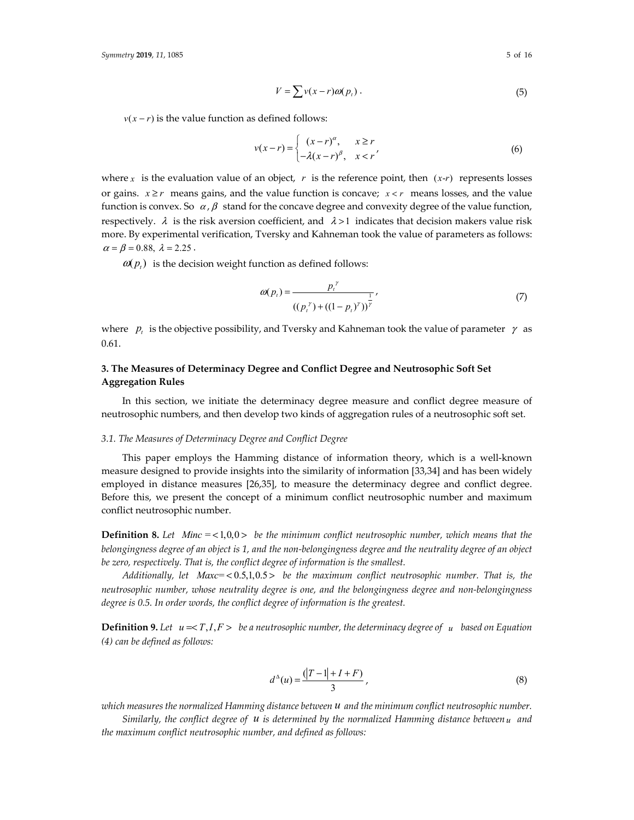$$
V = \sum v(x - r)\omega(p_t).
$$
 (5)

 $v(x - r)$  is the value function as defined follows:

$$
v(x-r) = \begin{cases} (x-r)^{\alpha}, & x \ge r \\ -\lambda(x-r)^{\beta}, & x < r' \end{cases}
$$
 (6)

where *x* is the evaluation value of an object, *r* is the reference point, then  $(x-r)$  represents losses or gains.  $x \ge r$  means gains, and the value function is concave;  $x \le r$  means losses, and the value function is convex. So  $\alpha$ ,  $\beta$  stand for the concave degree and convexity degree of the value function, respectively.  $\lambda$  is the risk aversion coefficient, and  $\lambda > 1$  indicates that decision makers value risk more. By experimental verification, Tversky and Kahneman took the value of parameters as follows:  $\alpha = \beta = 0.88, \lambda = 2.25$ .

 $\omega(p_t)$  is the decision weight function as defined follows:

$$
\omega(p_t) = \frac{p_t^{\gamma}}{((p_t^{\gamma}) + ((1 - p_t)^{\gamma}))^{\frac{1}{\gamma}}},
$$
\n(7)

where  $p_i$  is the objective possibility, and Tversky and Kahneman took the value of parameter  $\gamma$  as 0.61.

# **3. The Measures of Determinacy Degree and Conflict Degree and Neutrosophic Soft Set Aggregation Rules**

In this section, we initiate the determinacy degree measure and conflict degree measure of neutrosophic numbers, and then develop two kinds of aggregation rules of a neutrosophic soft set.

#### *3.1. The Measures of Determinacy Degree and Conflict Degree*

This paper employs the Hamming distance of information theory, which is a well-known measure designed to provide insights into the similarity of information [33,34] and has been widely employed in distance measures [26,35], to measure the determinacy degree and conflict degree. Before this, we present the concept of a minimum conflict neutrosophic number and maximum conflict neutrosophic number.

**Definition 8.** Let *Minc* = <1,0,0 > *be the minimum conflict neutrosophic number, which means that the belongingness degree of an object is 1, and the non-belongingness degree and the neutrality degree of an object be zero, respectively. That is, the conflict degree of information is the smallest.* 

*Additionally, let Maxc*= 0.5,1,0.5 < > *be the maximum conflict neutrosophic number. That is, the neutrosophic number, whose neutrality degree is one, and the belongingness degree and non-belongingness degree is 0.5. In order words, the conflict degree of information is the greatest.* 

**Definition 9.** Let  $u = T, I, F > be a$  neutrosophic number, the determinacy degree of  $u$  based on Equation *(4) can be defined as follows:* 

$$
d^{\Delta}(u) = \frac{(|T - 1| + I + F)}{3},
$$
\n(8)

*which measures the normalized Hamming distance between u and the minimum conflict neutrosophic number.* 

*Similarly, the conflict degree of u is determined by the normalized Hamming distance between <sup>u</sup> and the maximum conflict neutrosophic number, and defined as follows:*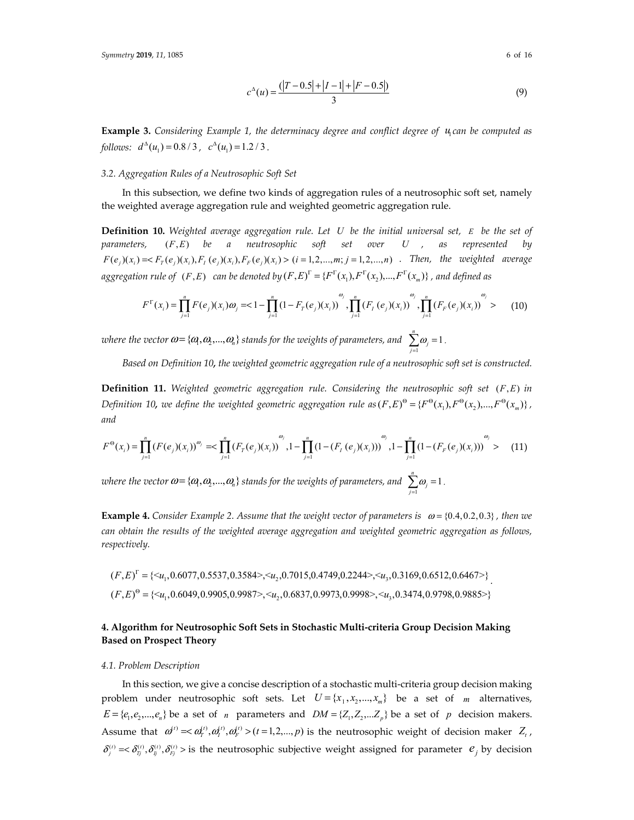$$
c^{\Delta}(u) = \frac{(|T - 0.5| + |I - 1| + |F - 0.5|)}{3}
$$
\n(9)

**Example 3.** *Considering Example 1, the determinacy degree and conflict degree of* 1*u can be computed as follows:*  $d^{4}(u_1) = 0.8 / 3$ ,  $c^{4}(u_1) = 1.2 / 3$ .

#### *3.2. Aggregation Rules of a Neutrosophic Soft Set*

In this subsection, we define two kinds of aggregation rules of a neutrosophic soft set, namely the weighted average aggregation rule and weighted geometric aggregation rule.

**Definition 10.** *Weighted average aggregation rule. Let U be the initial universal set, E be the set of parameters,*  $(F, E)$  *be a neutrosophic soft set over U*, as represented by  $F(e_i)(x_i) = \langle F_T(e_i)(x_i), F_T(e_i)(x_i), F_F(e_i)(x_i) \rangle$  (*i* = 1,2,...,*m*; *j* = 1,2,...,*n*). Then, the weighted average  $a$ ggregation rule of  $(F, E)$  can be denoted by  $(F, E)^{\Gamma} = \{F^{\Gamma}(x_1), F^{\Gamma}(x_2), ..., F^{\Gamma}(x_m)\}$ , and defined as

$$
F^{\Gamma}(x_i) = \prod_{j=1}^{n} F(e_j)(x_i) \omega_j = \langle 1 - \prod_{j=1}^{n} (1 - F_{T}(e_j)(x_i)) \omega_j, \prod_{j=1}^{n} (F_{T}(e_j)(x_j)) \omega_j, \prod_{j=1}^{n} (F_{T}(e_j)(x_j)) \omega_j
$$
(10)

*where the vector*  $\omega$   $=$  { $\alpha$ <sub>}</sub>, $\alpha$ <sub>2</sub>,..., $\alpha$ <sub>n</sub>} stands for the weights of parameters, and  $\sum_{j=1}^{n}$  $\sum_{i=1}^{n} \omega_i = 1$  $\sum_{j=1}^{\mathbf{w}_j}$ ω  $\sum_{j=1}^{\infty} \omega_j = 1$ .

*Based on Definition 10, the weighted geometric aggregation rule of a neutrosophic soft set is constructed.*

**Definition 11.** Weighted geometric aggregation rule. Considering the neutrosophic soft set (F,E) in *Definition 10, we define the weighted geometric aggregation rule as*  $(F, E)^{\Theta} = {F^{\Theta}(x_1), F^{\Theta}(x_2), ..., F^{\Theta}(x_m)}$ , *and* 

$$
F^{\Theta}(x_i) = \prod_{j=1}^n (F(e_j)(x_i))^{\omega_j} \approx \prod_{j=1}^n (F_T(e_j)(x_i))^{\omega_j}, 1 - \prod_{j=1}^n (1 - (F_T(e_j)(x_i)))^{\omega_j}, 1 - \prod_{j=1}^n (1 - (F_F(e_j)(x_i)))^{\omega_j} > (11)
$$

*where the vector*  $\omega$  = { $\alpha$ <sub>}</sub>, $\alpha$ <sub>2</sub>,..., $\alpha$ <sub>n</sub>} stands for the weights of parameters, and  $\sum_{j=1}^n\alpha_j$  $\sum_{i=1}^{n} \omega_i = 1$  $\sum_{j=1}^{\mathbf{w}}$ ω  $\sum_{j=1}^{\infty} \omega_j = 1$ .

**Example 4.** *Consider Example 2. Assume that the weight vector of parameters is*  $\omega = \{0.4, 0.2, 0.3\}$ *, then we can obtain the results of the weighted average aggregation and weighted geometric aggregation as follows, respectively.* 

$$
(F, E)^{\Gamma} = \{ \langle u_1, 0.6077, 0.5537, 0.3584 \rangle, \langle u_2, 0.7015, 0.4749, 0.2244 \rangle, \langle u_3, 0.3169, 0.6512, 0.6467 \rangle \}
$$
  

$$
(F, E)^{\Theta} = \{ \langle u_1, 0.6049, 0.9905, 0.9987 \rangle, \langle u_2, 0.6837, 0.9973, 0.9998 \rangle, \langle u_3, 0.3474, 0.9798, 0.9885 \rangle \}
$$

# **4. Algorithm for Neutrosophic Soft Sets in Stochastic Multi-criteria Group Decision Making Based on Prospect Theory**

## *4.1. Problem Description*

In this section, we give a concise description of a stochastic multi-criteria group decision making problem under neutrosophic soft sets. Let  $U = \{x_1, x_2, ..., x_m\}$  be a set of *m* alternatives,  $E = \{e_1, e_2, \dots, e_n\}$  be a set of *n* parameters and  $DM = \{Z_1, Z_2, \dots, Z_n\}$  be a set of *p* decision makers. Assume that  $\omega^{(t)} = \langle \omega^{(t)}_T, \omega^{(t)}_T, \omega^{(t)}_F \rangle$  ( $t = 1,2,...,p$ ) is the neutrosophic weight of decision maker  $Z_t$ ,  $\delta_j^{(i)} = \delta_j^{(i)}, \delta_j^{(i)}, \delta_j^{(i)}$  is the neutrosophic subjective weight assigned for parameter  $e_j$  by decision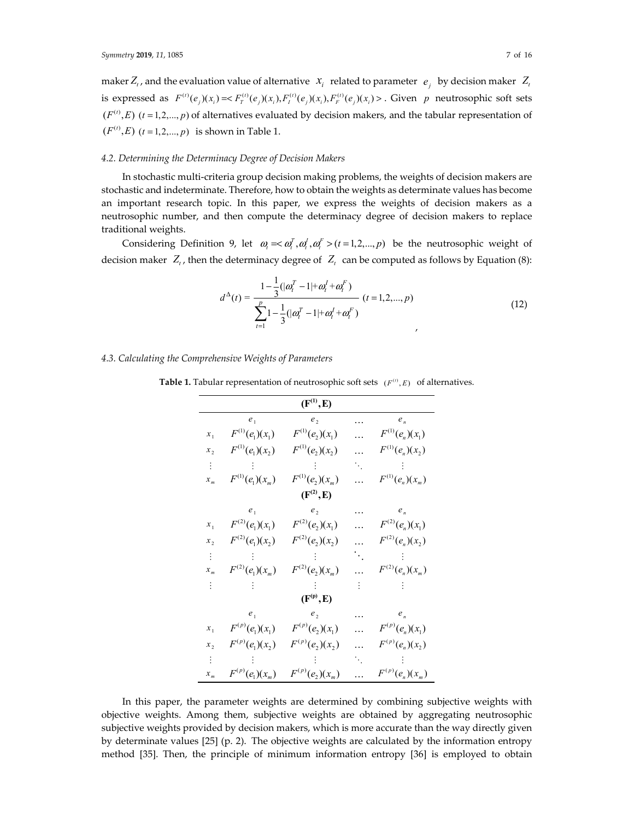maker  $Z_t$ , and the evaluation value of alternative  $x_i$  related to parameter  $e_i$  by decision maker  $Z_t$ is expressed as  $F^{(i)}(e_i)(x_i) = \langle F^{(i)}_T(e_i)(x_i), F^{(i)}_T(e_i)(x_i), F^{(i)}_F(e_i)(x_i) \rangle$ . Given *p* neutrosophic soft sets  $(F^{(t)}, E)$  ( $t = 1, 2, ..., p$ ) of alternatives evaluated by decision makers, and the tabular representation of  $(F^{(t)}, E)$   $(t = 1, 2, ..., p)$  is shown in Table 1.

## *4.2. Determining the Determinacy Degree of Decision Makers*

In stochastic multi-criteria group decision making problems, the weights of decision makers are stochastic and indeterminate. Therefore, how to obtain the weights as determinate values has become an important research topic. In this paper, we express the weights of decision makers as a neutrosophic number, and then compute the determinacy degree of decision makers to replace traditional weights.

Considering Definition 9, let  $\omega_i \ll \omega_i^T$ ,  $\omega_i^T$ ,  $\omega_i^F > (t = 1, 2, ..., p)$  be the neutrosophic weight of decision maker  $Z_t$ , then the determinacy degree of  $Z_t$  can be computed as follows by Equation (8):

$$
d^{\Delta}(t) = \frac{1 - \frac{1}{3}(|\omega_i^T - 1| + \omega_i^T + \omega_i^F)}{\sum_{t=1}^p 1 - \frac{1}{3}(|\omega_i^T - 1| + \omega_i^T + \omega_i^F)}
$$
 (12)

## *4.3. Calculating the Comprehensive Weights of Parameters*

| $(F^{(1)}, E)$             |                     |                     |           |                            |  |  |  |
|----------------------------|---------------------|---------------------|-----------|----------------------------|--|--|--|
|                            | $e_1$               | e,                  |           | $e_n$                      |  |  |  |
| $x_{\scriptscriptstyle 1}$ | $F^{(1)}(e_1)(x_1)$ | $F^{(1)}(e_2)(x_1)$ |           | $F^{(1)}(e_n)(x_1)$        |  |  |  |
| x,                         | $F^{(1)}(e_1)(x_2)$ | $F^{(1)}(e_2)(x_2)$ |           | $F^{(1)}(e_n)(x_2)$        |  |  |  |
|                            |                     |                     | ٠.        |                            |  |  |  |
| $x_{m}$                    | $F^{(1)}(e_1)(x_m)$ | $F^{(1)}(e_2)(x_m)$ |           | $F^{(1)}(e_n)(x_m)$        |  |  |  |
| $(F^{(2)}, E)$             |                     |                     |           |                            |  |  |  |
|                            | $e_1$               | e,                  |           | $e_n$                      |  |  |  |
| $x_1$                      | $F^{(2)}(e_1)(x_1)$ | $F^{(2)}(e_2)(x_1)$ |           | $F^{(2)}(e_n)(x_1)$        |  |  |  |
| $x_2$                      | $F^{(2)}(e_1)(x_2)$ | $F^{(2)}(e_2)(x_2)$ |           | $F^{(2)}(e_n)(x_2)$        |  |  |  |
|                            |                     |                     | $\bullet$ |                            |  |  |  |
| $x_{m}$                    | $F^{(2)}(e_1)(x_m)$ | $F^{(2)}(e_2)(x_m)$ |           | $F^{(2)}(e_n)(x_m)$        |  |  |  |
|                            |                     |                     |           |                            |  |  |  |
| (F <sup>(p)</sup> , E)     |                     |                     |           |                            |  |  |  |
|                            | $e_1$               | e,                  |           | $e_{\scriptscriptstyle n}$ |  |  |  |
| $x_{\scriptscriptstyle 1}$ | $F^{(p)}(e_1)(x_1)$ | $F^{(p)}(e_2)(x_1)$ |           | $F^{(p)}(e_n)(x_1)$        |  |  |  |
| $x_{2}$                    | $F^{(p)}(e_1)(x_2)$ | $F^{(p)}(e_2)(x_2)$ |           | $F^{(p)}(e_n)(x_2)$        |  |  |  |
|                            |                     |                     | ۰.,       |                            |  |  |  |
| $x_{\scriptscriptstyle m}$ | $F^{(p)}(e_1)(x_m)$ | $F^{(p)}(e_2)(x_m)$ |           | $F^{(p)}(e_n)(x_m)$        |  |  |  |

**Table 1.** Tabular representation of neutrosophic soft sets  $(F^{(t)}, E)$  of alternatives.

In this paper, the parameter weights are determined by combining subjective weights with objective weights. Among them, subjective weights are obtained by aggregating neutrosophic subjective weights provided by decision makers, which is more accurate than the way directly given by determinate values [25] (p. 2). The objective weights are calculated by the information entropy method [35]. Then, the principle of minimum information entropy [36] is employed to obtain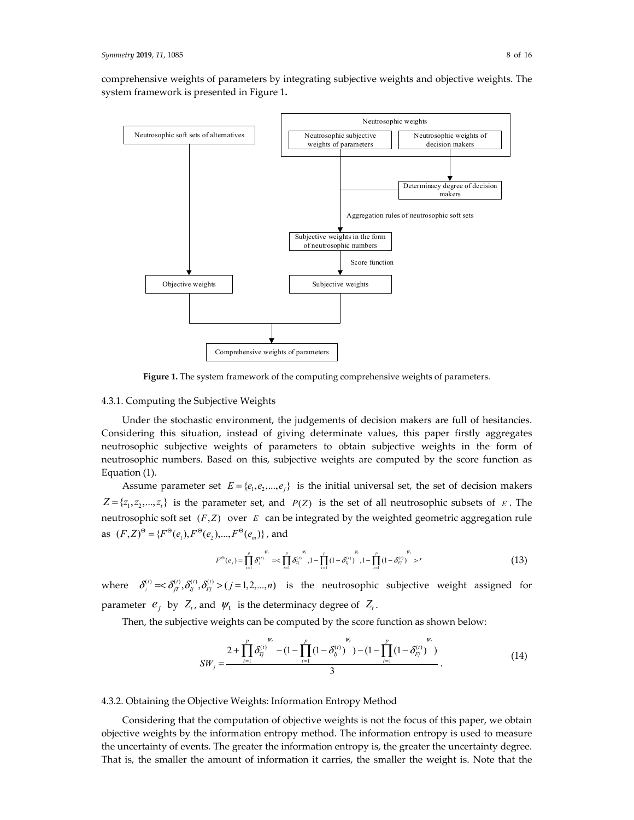comprehensive weights of parameters by integrating subjective weights and objective weights. The system framework is presented in Figure 1**.**



**Figure 1.** The system framework of the computing comprehensive weights of parameters.

#### 4.3.1. Computing the Subjective Weights

Under the stochastic environment, the judgements of decision makers are full of hesitancies. Considering this situation, instead of giving determinate values, this paper firstly aggregates neutrosophic subjective weights of parameters to obtain subjective weights in the form of neutrosophic numbers. Based on this, subjective weights are computed by the score function as Equation (1).

Assume parameter set  $E = \{e_1, e_2, ..., e_j\}$  is the initial universal set, the set of decision makers  $Z = \{z_1, z_2, ..., z_t\}$  is the parameter set, and *P(Z)* is the set of all neutrosophic subsets of *E*. The neutrosophic soft set  $(F,Z)$  over  $E$  can be integrated by the weighted geometric aggregation rule as  $(F,Z)^{\Theta} = \{ F^{\Theta}(e_1), F^{\Theta}(e_2), ..., F^{\Theta}(e_m) \}$ , and

$$
F^{\Theta}(e_j) = \prod_{i=1}^p \delta_j^{(t)} = \sum_{i=1}^p \delta_{ij}^{(t)}, 1 - \prod_{i=1}^p (1 - \delta_{ij}^{(t)})^{\sum_{i=1}^p (1 - \delta_{ij}^{(t)})} = \sum_{i=1}^p (1 - \delta_{ij}^{(t)})^{\sum_{i=1}^p (1 - \delta_{ij}^{(t)})} > (13)
$$

where  $\delta_j^{(t)} = \delta_j^{(t)}, \delta_j^{(t)}, \delta_j^{(t)} > (j=1,2,...,n)$  is the neutrosophic subjective weight assigned for parameter  $e_i$  by  $Z_i$ , and  $\Psi_t$  is the determinacy degree of  $Z_i$ .

Then, the subjective weights can be computed by the score function as shown below:

$$
SW_j = \frac{2 + \prod_{t=1}^p \delta_{T_j}^{(t)}}{3} - (1 - \prod_{t=1}^p (1 - \delta_{T_j}^{(t)})^{W_t} - (1 - \prod_{t=1}^p (1 - \delta_{T_j}^{(t)})^{W_t})}{3}.
$$
(14)

#### 4.3.2. Obtaining the Objective Weights: Information Entropy Method

Considering that the computation of objective weights is not the focus of this paper, we obtain objective weights by the information entropy method. The information entropy is used to measure the uncertainty of events. The greater the information entropy is, the greater the uncertainty degree. That is, the smaller the amount of information it carries, the smaller the weight is. Note that the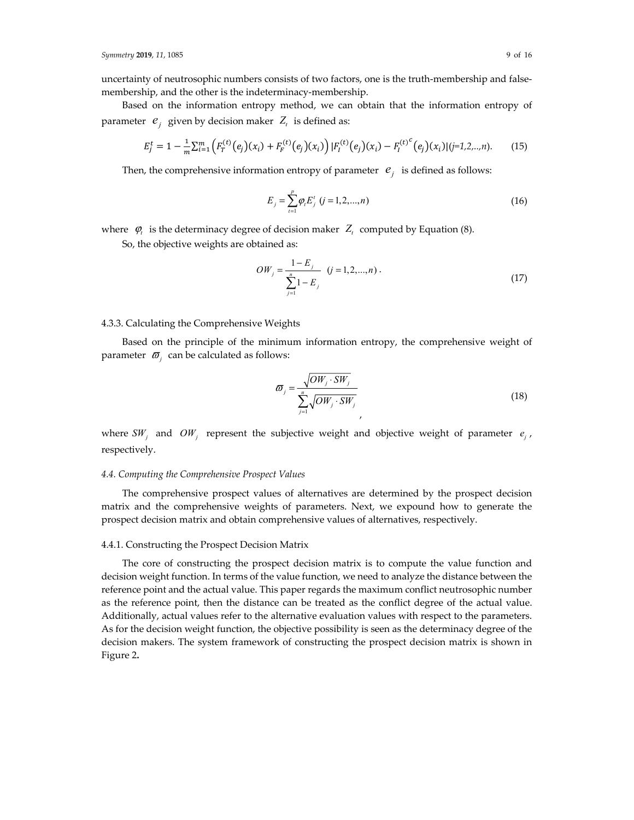uncertainty of neutrosophic numbers consists of two factors, one is the truth-membership and falsemembership, and the other is the indeterminacy-membership.

Based on the information entropy method, we can obtain that the information entropy of parameter  $e_i$  given by decision maker  $Z_t$  is defined as:

$$
E_j^t = 1 - \frac{1}{m} \sum_{i=1}^m \left( F_T^{(t)}(e_j)(x_i) + F_F^{(t)}(e_j)(x_i) \right) |F_I^{(t)}(e_j)(x_i) - F_I^{(t)}(e_j)(x_i)| (j=1,2,...,n).
$$
 (15)

Then, the comprehensive information entropy of parameter  $e_i$  is defined as follows:

$$
E_j = \sum_{i=1}^{p} \varphi_i E_j^t \ (j = 1, 2, ..., n)
$$
 (16)

where  $\varphi_t$  is the determinacy degree of decision maker  $Z_t$  computed by Equation (8).

So, the objective weights are obtained as:

$$
OW_j = \frac{1 - E_j}{\sum_{j=1}^{n} 1 - E_j} \quad (j = 1, 2, ..., n) \tag{17}
$$

## 4.3.3. Calculating the Comprehensive Weights

Based on the principle of the minimum information entropy, the comprehensive weight of parameter  $\sigma_i$  can be calculated as follows:

$$
\varpi_{j} = \frac{\sqrt{OW_{j} \cdot SW_{j}}}{\sum_{j=1}^{n} \sqrt{OW_{j} \cdot SW_{j}}}
$$
\n(18)

where  $SW_j$  and  $OW_j$  represent the subjective weight and objective weight of parameter  $e_i$ , respectively.

#### *4.4. Computing the Comprehensive Prospect Values*

The comprehensive prospect values of alternatives are determined by the prospect decision matrix and the comprehensive weights of parameters. Next, we expound how to generate the prospect decision matrix and obtain comprehensive values of alternatives, respectively.

#### 4.4.1. Constructing the Prospect Decision Matrix

The core of constructing the prospect decision matrix is to compute the value function and decision weight function. In terms of the value function, we need to analyze the distance between the reference point and the actual value. This paper regards the maximum conflict neutrosophic number as the reference point, then the distance can be treated as the conflict degree of the actual value. Additionally, actual values refer to the alternative evaluation values with respect to the parameters. As for the decision weight function, the objective possibility is seen as the determinacy degree of the decision makers. The system framework of constructing the prospect decision matrix is shown in Figure 2**.**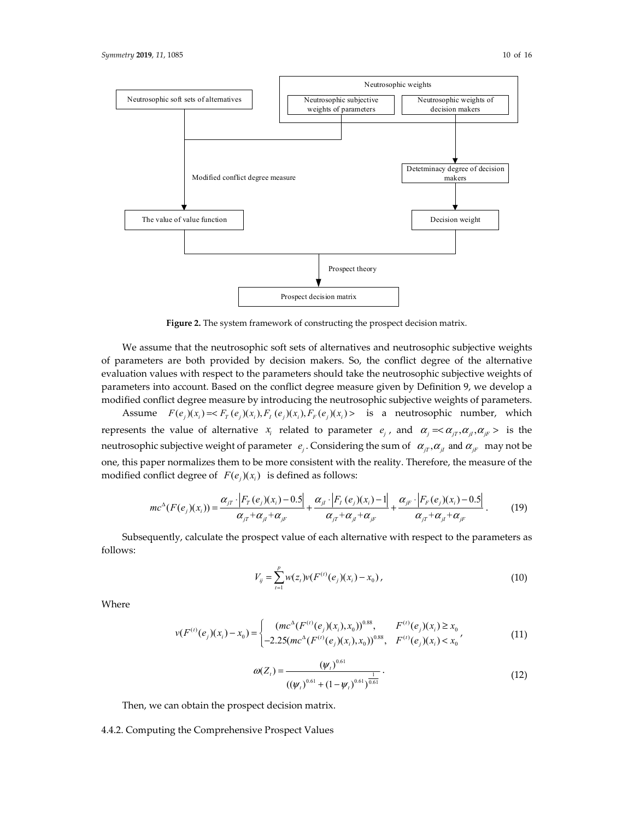

**Figure 2.** The system framework of constructing the prospect decision matrix.

We assume that the neutrosophic soft sets of alternatives and neutrosophic subjective weights of parameters are both provided by decision makers. So, the conflict degree of the alternative evaluation values with respect to the parameters should take the neutrosophic subjective weights of parameters into account. Based on the conflict degree measure given by Definition 9, we develop a modified conflict degree measure by introducing the neutrosophic subjective weights of parameters.

Assume  $F(e_i)(x_i) = \langle F_r(e_i)(x_i), F_t(e_i)(x_i), F_r(e_i)(x_i) \rangle$  is a neutrosophic number, which represents the value of alternative  $x_i$  related to parameter  $e_i$ , and  $\alpha_i = \alpha_{i}, \alpha_{i}, \alpha_{i}, \alpha_{i} >$  is the neutrosophic subjective weight of parameter  $e_i$ . Considering the sum of  $\alpha_{iT}$ ,  $\alpha_{iT}$  and  $\alpha_{iF}$  may not be one, this paper normalizes them to be more consistent with the reality. Therefore, the measure of the modified conflict degree of  $F(e_i)(x_i)$  is defined as follows:

$$
mc^{\Delta}(F(e_j)(x_i)) = \frac{\alpha_{jT} \cdot |F_T(e_j)(x_i) - 0.5|}{\alpha_{jT} + \alpha_{jT} + \alpha_{jF}} + \frac{\alpha_{jT} \cdot |F_T(e_j)(x_i) - 1|}{\alpha_{jT} + \alpha_{jT} + \alpha_{jF}} + \frac{\alpha_{jF} \cdot |F_F(e_j)(x_i) - 0.5|}{\alpha_{jT} + \alpha_{jT} + \alpha_{jF}}.
$$
(19)

Subsequently, calculate the prospect value of each alternative with respect to the parameters as follows:

$$
V_{ij} = \sum_{i=1}^{p} w(z_i) v(F^{(i)}(e_j)(x_i) - x_0), \qquad (10)
$$

Where

$$
v(F^{(i)}(e_j)(x_i) - x_0) = \begin{cases} (mc^{\Delta}(F^{(i)}(e_j)(x_i), x_0))^{0.88}, & F^{(i)}(e_j)(x_i) \ge x_0 \\ -2.25(mc^{\Delta}(F^{(i)}(e_j)(x_i), x_0))^{0.88}, & F^{(i)}(e_j)(x_i) < x_0 \end{cases}
$$
(11)

$$
\omega(Z_t) = \frac{(\psi_t)^{0.61}}{((\psi_t)^{0.61} + (1 - \psi_t)^{0.61})^{\frac{1}{0.61}}}.
$$
\n(12)

Then, we can obtain the prospect decision matrix.

4.4.2. Computing the Comprehensive Prospect Values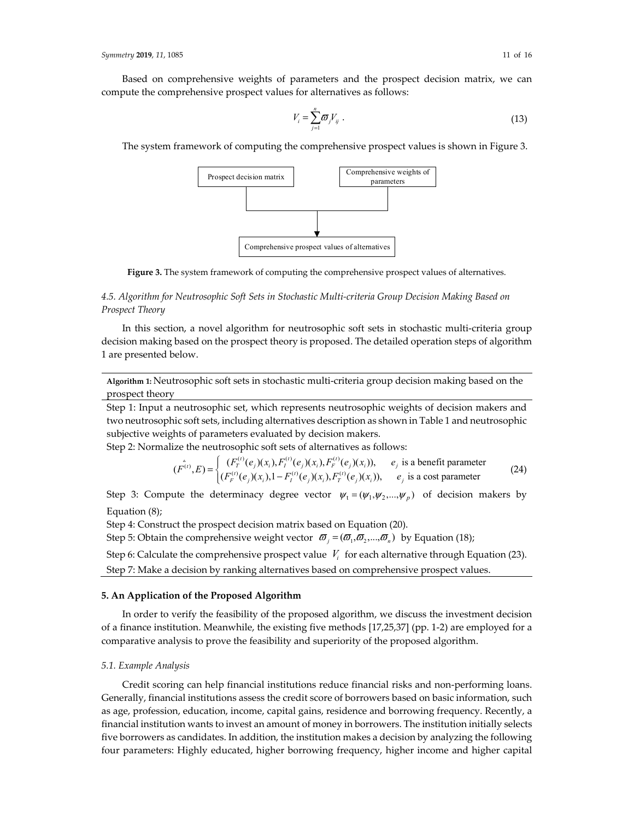$$
V_i = \sum_{j=1}^n \overline{\omega}_j V_{ij} \tag{13}
$$

The system framework of computing the comprehensive prospect values is shown in Figure 3.



**Figure 3.** The system framework of computing the comprehensive prospect values of alternatives.

# *4.5. Algorithm for Neutrosophic Soft Sets in Stochastic Multi-criteria Group Decision Making Based on Prospect Theory*

In this section, a novel algorithm for neutrosophic soft sets in stochastic multi-criteria group decision making based on the prospect theory is proposed. The detailed operation steps of algorithm 1 are presented below.

**Algorithm 1:** Neutrosophic soft sets in stochastic multi-criteria group decision making based on the prospect theory

Step 1: Input a neutrosophic set, which represents neutrosophic weights of decision makers and two neutrosophic soft sets, including alternatives description as shown in Table 1 and neutrosophic subjective weights of parameters evaluated by decision makers.

Step 2: Normalize the neutrosophic soft sets of alternatives as follows:

$$
(\hat{F}^{(t)}, E) = \begin{cases} (F_T^{(t)}(e_j)(x_i), F_T^{(t)}(e_j)(x_i), F_F^{(t)}(e_j)(x_i)), & e_j \text{ is a benefit parameter} \\ (F_F^{(t)}(e_j)(x_i), 1 - F_T^{(t)}(e_j)(x_i), F_T^{(t)}(e_j)(x_i)), & e_j \text{ is a cost parameter} \end{cases}
$$
(24)

Step 3: Compute the determinacy degree vector  $\psi_t = (\psi_1, \psi_2, ..., \psi_p)$  of decision makers by Equation (8);

Step 4: Construct the prospect decision matrix based on Equation (20).

Step 5: Obtain the comprehensive weight vector  $\mathbf{\sigma}_i = (\mathbf{\sigma}_i, \mathbf{\sigma}_2, ..., \mathbf{\sigma}_n)$  by Equation (18);

Step 6: Calculate the comprehensive prospect value  $V_i$  for each alternative through Equation (23).

Step 7: Make a decision by ranking alternatives based on comprehensive prospect values.

## **5. An Application of the Proposed Algorithm**

In order to verify the feasibility of the proposed algorithm, we discuss the investment decision of a finance institution. Meanwhile, the existing five methods [17,25,37] (pp. 1-2) are employed for a comparative analysis to prove the feasibility and superiority of the proposed algorithm.

## *5.1. Example Analysis*

Credit scoring can help financial institutions reduce financial risks and non-performing loans. Generally, financial institutions assess the credit score of borrowers based on basic information, such as age, profession, education, income, capital gains, residence and borrowing frequency. Recently, a financial institution wants to invest an amount of money in borrowers. The institution initially selects five borrowers as candidates. In addition, the institution makes a decision by analyzing the following four parameters: Highly educated, higher borrowing frequency, higher income and higher capital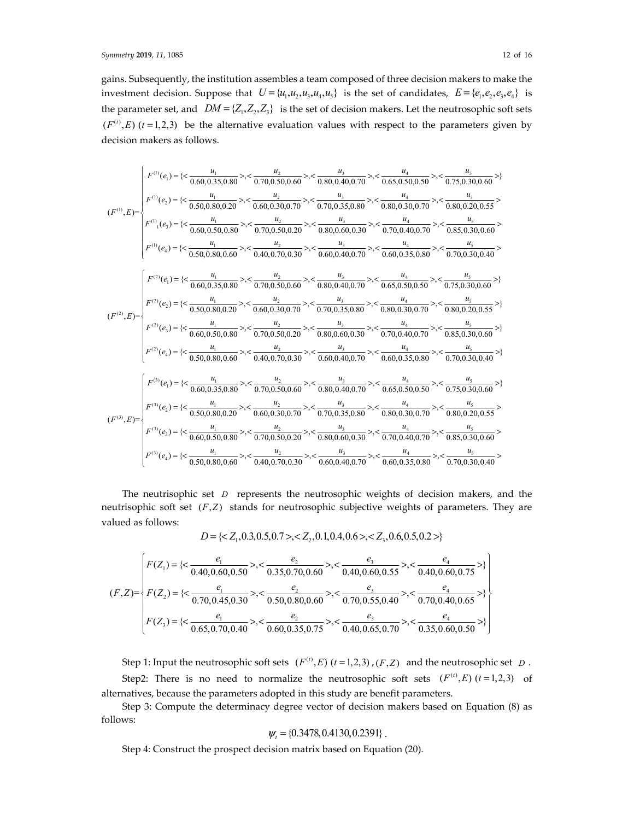gains. Subsequently, the institution assembles a team composed of three decision makers to make the investment decision. Suppose that  $U = {u_1, u_2, u_3, u_4, u_5}$  is the set of candidates,  $E = {e_1, e_2, e_3, e_4}$  is the parameter set, and  $DM = \{Z_1, Z_2, Z_3\}$  is the set of decision makers. Let the neutrosophic soft sets  $(F^{(t)}, E)$  ( $t = 1,2,3$ ) be the alternative evaluation values with respect to the parameters given by decision makers as follows.

$$
(F^{(1)},E) = \begin{cases} F^{(1)}(e_1) = \{ \langle \frac{u_1}{0.60, 0.35, 0.80}, \rangle, \langle \frac{u_2}{0.70, 0.50, 0.60}, \rangle, \langle \frac{u_3}{0.80, 0.40, 0.70}, \rangle, \langle \frac{u_4}{0.65, 0.50, 0.50}, \rangle, \langle \frac{u_5}{0.75, 0.30, 0.60}, \rangle \} \end{cases}
$$
  
\n
$$
(F^{(1)},E) = \begin{cases} F^{(1)}(e_1) = \{ \langle \frac{u_1}{0.50, 0.80, 0.20}, \rangle, \langle \frac{u_2}{0.70, 0.30, 0.70}, \rangle, \langle \frac{u_3}{0.70, 0.35, 0.80}, \rangle, \langle \frac{u_4}{0.70, 0.35, 0.80}, \rangle, \langle \frac{u_5}{0.80, 0.03, 0.70}, \rangle, \langle \frac{u_5}{0.80, 0.20, 0.55}, \rangle \end{cases}
$$
  
\n
$$
F^{(1)}(e_4) = \{ \langle \frac{u_1}{0.60, 0.50, 0.80}, \rangle, \langle \frac{u_2}{0.70, 0.50, 0.20}, \rangle, \langle \frac{u_3}{0.80, 0.60, 0.35}, \rangle, \langle \frac{u_4}{0.70, 0.40, 0.70}, \rangle, \langle \frac{u_4}{0.85, 0.30, 0.60}, \rangle \} \end{cases}
$$
  
\n
$$
(F^{(2)},E) = \begin{cases} F^{(1)}(e_1) = \{ \langle \frac{u_1}{0.50, 0.80, 0.60}, \rangle, \langle \frac{u_2}{0.40, 0.70, 0.30}, \rangle, \langle \frac{u_3}{0.80, 0.40, 0.70}, \rangle, \langle \frac{u_4}{0.60, 0.35, 0.80}, \rangle, \langle \frac{u_4}{0.60, 0.35, 0.80}, \rangle, \langle \frac{u_4}{0
$$

The neutrisophic set *D* represents the neutrosophic weights of decision makers, and the neutrisophic soft set  $(F, Z)$  stands for neutrosophic subjective weights of parameters. They are valued as follows:

$$
D = \{, , \}
$$

$$
(F,Z) = \begin{cases} F(Z_1) = \{ < \frac{e_1}{0.40, 0.60, 0.50} > \, < \frac{e_2}{0.35, 0.70, 0.60} > \, < \frac{e_3}{0.40, 0.60, 0.55} > \, < \frac{e_4}{0.40, 0.60, 0.75} > \} \\ F(Z_2) = \{ < \frac{e_1}{0.70, 0.45, 0.30} > \, < \frac{e_2}{0.50, 0.80, 0.60} > \, < \frac{e_3}{0.70, 0.55, 0.40} > \, < \frac{e_4}{0.70, 0.40, 0.65} > \} \\ F(Z_3) = \{ < \frac{e_1}{0.65, 0.70, 0.40} > \, < \frac{e_2}{0.60, 0.35, 0.75} > \, < \frac{e_3}{0.40, 0.65, 0.70} > \, < \frac{e_4}{0.35, 0.60, 0.50} > \} \end{cases}
$$

Step 1: Input the neutrosophic soft sets  $(F^{(t)}, E)$   $(t = 1, 2, 3)$ ,  $(F, Z)$  and the neutrosophic set *D*. Step2: There is no need to normalize the neutrosophic soft sets  $(F^{(t)}, E)$   $(t = 1,2,3)$  of alternatives, because the parameters adopted in this study are benefit parameters.

Step 3: Compute the determinacy degree vector of decision makers based on Equation (8) as follows:

$$
\psi_t = \{0.3478, 0.4130, 0.2391\}.
$$

Step 4: Construct the prospect decision matrix based on Equation (20).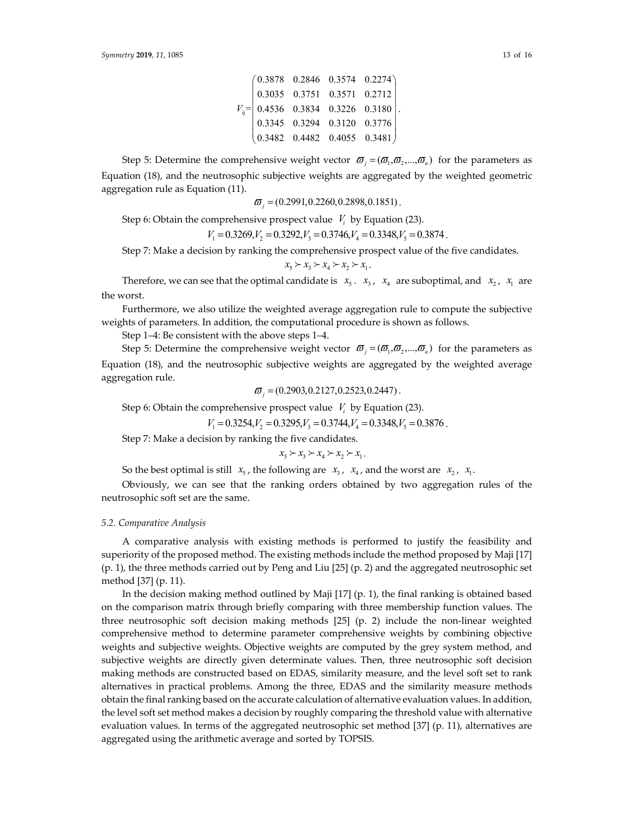|  |  | $\begin{pmatrix} 0.3878 & 0.2846 & 0.3574 & 0.2274 \ 0.3035 & 0.3751 & 0.3571 & 0.2712 \ 0.4536 & 0.3834 & 0.3226 & 0.3180 \ 0.3345 & 0.3294 & 0.3120 & 0.3776 \ 0.3482 & 0.4482 & 0.4055 & 0.3481 \end{pmatrix}.$ |
|--|--|--------------------------------------------------------------------------------------------------------------------------------------------------------------------------------------------------------------------|

Step 5: Determine the comprehensive weight vector  $\vec{\omega}_i = (\vec{\omega}_i, \vec{\omega}_i, ..., \vec{\omega}_n)$  for the parameters as Equation (18), and the neutrosophic subjective weights are aggregated by the weighted geometric aggregation rule as Equation (11).

 $\sigma_i = (0.2991, 0.2260, 0.2898, 0.1851)$ .

Step 6: Obtain the comprehensive prospect value  $V_i$  by Equation (23).

 $V_1 = 0.3269, V_2 = 0.3292, V_3 = 0.3746, V_4 = 0.3348, V_5 = 0.3874$ .

Step 7: Make a decision by ranking the comprehensive prospect value of the five candidates.

$$
x_5 \succ x_3 \succ x_4 \succ x_2 \succ x_1.
$$

Therefore, we can see that the optimal candidate is  $x_5$ .  $x_3$ ,  $x_4$  are suboptimal, and  $x_2$ ,  $x_1$  are the worst.

Furthermore, we also utilize the weighted average aggregation rule to compute the subjective weights of parameters. In addition, the computational procedure is shown as follows.

Step 1–4: Be consistent with the above steps 1–4.

Step 5: Determine the comprehensive weight vector  $\bar{\sigma}_i = (\bar{\sigma}_i, \bar{\sigma}_2, ..., \bar{\sigma}_n)$  for the parameters as Equation (18), and the neutrosophic subjective weights are aggregated by the weighted average aggregation rule.

$$
\boldsymbol{\varpi}_i = (0.2903, 0.2127, 0.2523, 0.2447).
$$

Step 6: Obtain the comprehensive prospect value  $V_i$  by Equation (23).

 $V_1 = 0.3254, V_2 = 0.3295, V_3 = 0.3744, V_4 = 0.3348, V_5 = 0.3876$ .

Step 7: Make a decision by ranking the five candidates.

$$
x_5 \succ x_3 \succ x_4 \succ x_2 \succ x_1.
$$

So the best optimal is still  $x_5$ , the following are  $x_3$ ,  $x_4$ , and the worst are  $x_2$ ,  $x_1$ .

Obviously, we can see that the ranking orders obtained by two aggregation rules of the neutrosophic soft set are the same.

## *5.2. Comparative Analysis*

A comparative analysis with existing methods is performed to justify the feasibility and superiority of the proposed method. The existing methods include the method proposed by Maji [17] (p. 1), the three methods carried out by Peng and Liu [25] (p. 2) and the aggregated neutrosophic set method [37] (p. 11).

In the decision making method outlined by Maji [17] (p. 1), the final ranking is obtained based on the comparison matrix through briefly comparing with three membership function values. The three neutrosophic soft decision making methods [25] (p. 2) include the non-linear weighted comprehensive method to determine parameter comprehensive weights by combining objective weights and subjective weights. Objective weights are computed by the grey system method, and subjective weights are directly given determinate values. Then, three neutrosophic soft decision making methods are constructed based on EDAS, similarity measure, and the level soft set to rank alternatives in practical problems. Among the three, EDAS and the similarity measure methods obtain the final ranking based on the accurate calculation of alternative evaluation values. In addition, the level soft set method makes a decision by roughly comparing the threshold value with alternative evaluation values. In terms of the aggregated neutrosophic set method [37] (p. 11), alternatives are aggregated using the arithmetic average and sorted by TOPSIS.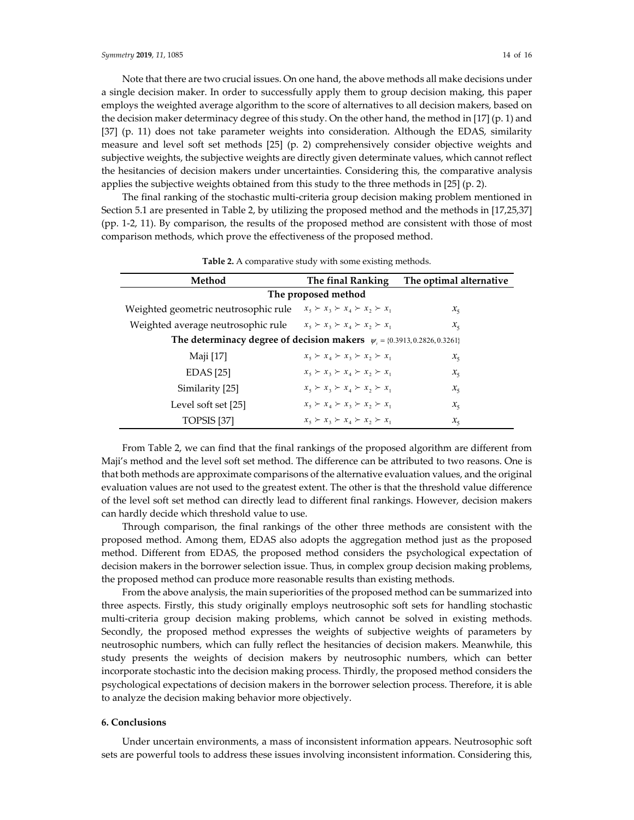Note that there are two crucial issues. On one hand, the above methods all make decisions under a single decision maker. In order to successfully apply them to group decision making, this paper employs the weighted average algorithm to the score of alternatives to all decision makers, based on the decision maker determinacy degree of this study. On the other hand, the method in [17] (p. 1) and [37] (p. 11) does not take parameter weights into consideration. Although the EDAS, similarity measure and level soft set methods [25] (p. 2) comprehensively consider objective weights and subjective weights, the subjective weights are directly given determinate values, which cannot reflect the hesitancies of decision makers under uncertainties. Considering this, the comparative analysis applies the subjective weights obtained from this study to the three methods in [25] (p. 2).

The final ranking of the stochastic multi-criteria group decision making problem mentioned in Section 5.1 are presented in Table 2, by utilizing the proposed method and the methods in [17,25,37] (pp. 1-2, 11). By comparison, the results of the proposed method are consistent with those of most comparison methods, which prove the effectiveness of the proposed method.

| Method                                                                          | The final Ranking                                       | The optimal alternative |  |  |  |  |  |
|---------------------------------------------------------------------------------|---------------------------------------------------------|-------------------------|--|--|--|--|--|
| The proposed method                                                             |                                                         |                         |  |  |  |  |  |
| Weighted geometric neutrosophic rule                                            | $x_{5} \succ x_{3} \succ x_{4} \succ x_{2} \succ x_{1}$ | $x_{5}$                 |  |  |  |  |  |
| Weighted average neutrosophic rule                                              | $x_5 \succ x_3 \succ x_4 \succ x_2 \succ x_1$           | $x_{5}$                 |  |  |  |  |  |
| The determinacy degree of decision makers $\psi_t = \{0.3913, 0.2826, 0.3261\}$ |                                                         |                         |  |  |  |  |  |
| Maji [17]                                                                       | $x_5 \succ x_4 \succ x_3 \succ x_2 \succ x_1$           | $x_{5}$                 |  |  |  |  |  |
| EDAS [25]                                                                       | $x_{5} \succ x_{3} \succ x_{4} \succ x_{2} \succ x_{1}$ | $x_{5}$                 |  |  |  |  |  |
| Similarity [25]                                                                 | $x_{5} \succ x_{3} \succ x_{4} \succ x_{2} \succ x_{1}$ | $x_{5}$                 |  |  |  |  |  |
| Level soft set [25]                                                             | $x_5 \succ x_4 \succ x_3 \succ x_2 \succ x_1$           | $x_{5}$                 |  |  |  |  |  |
| TOPSIS [37]                                                                     | $x_{5} \succ x_{3} \succ x_{4} \succ x_{2} \succ x_{1}$ | $x_{5}$                 |  |  |  |  |  |

**Table 2.** A comparative study with some existing methods.

From Table 2, we can find that the final rankings of the proposed algorithm are different from Maji's method and the level soft set method. The difference can be attributed to two reasons. One is that both methods are approximate comparisons of the alternative evaluation values, and the original evaluation values are not used to the greatest extent. The other is that the threshold value difference of the level soft set method can directly lead to different final rankings. However, decision makers can hardly decide which threshold value to use.

Through comparison, the final rankings of the other three methods are consistent with the proposed method. Among them, EDAS also adopts the aggregation method just as the proposed method. Different from EDAS, the proposed method considers the psychological expectation of decision makers in the borrower selection issue. Thus, in complex group decision making problems, the proposed method can produce more reasonable results than existing methods.

From the above analysis, the main superiorities of the proposed method can be summarized into three aspects. Firstly, this study originally employs neutrosophic soft sets for handling stochastic multi-criteria group decision making problems, which cannot be solved in existing methods. Secondly, the proposed method expresses the weights of subjective weights of parameters by neutrosophic numbers, which can fully reflect the hesitancies of decision makers. Meanwhile, this study presents the weights of decision makers by neutrosophic numbers, which can better incorporate stochastic into the decision making process. Thirdly, the proposed method considers the psychological expectations of decision makers in the borrower selection process. Therefore, it is able to analyze the decision making behavior more objectively.

## **6. Conclusions**

Under uncertain environments, a mass of inconsistent information appears. Neutrosophic soft sets are powerful tools to address these issues involving inconsistent information. Considering this,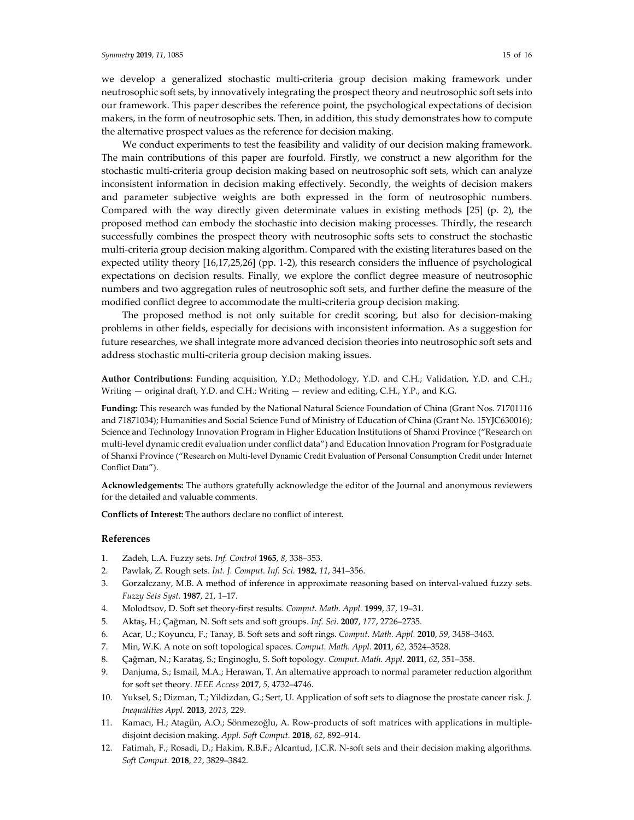we develop a generalized stochastic multi-criteria group decision making framework under neutrosophic soft sets, by innovatively integrating the prospect theory and neutrosophic soft sets into our framework. This paper describes the reference point, the psychological expectations of decision makers, in the form of neutrosophic sets. Then, in addition, this study demonstrates how to compute the alternative prospect values as the reference for decision making.

We conduct experiments to test the feasibility and validity of our decision making framework. The main contributions of this paper are fourfold. Firstly, we construct a new algorithm for the stochastic multi-criteria group decision making based on neutrosophic soft sets, which can analyze inconsistent information in decision making effectively. Secondly, the weights of decision makers and parameter subjective weights are both expressed in the form of neutrosophic numbers. Compared with the way directly given determinate values in existing methods [25] (p. 2), the proposed method can embody the stochastic into decision making processes. Thirdly, the research successfully combines the prospect theory with neutrosophic softs sets to construct the stochastic multi-criteria group decision making algorithm. Compared with the existing literatures based on the expected utility theory [16,17,25,26] (pp. 1-2), this research considers the influence of psychological expectations on decision results. Finally, we explore the conflict degree measure of neutrosophic numbers and two aggregation rules of neutrosophic soft sets, and further define the measure of the modified conflict degree to accommodate the multi-criteria group decision making.

The proposed method is not only suitable for credit scoring, but also for decision-making problems in other fields, especially for decisions with inconsistent information. As a suggestion for future researches, we shall integrate more advanced decision theories into neutrosophic soft sets and address stochastic multi-criteria group decision making issues.

**Author Contributions:** Funding acquisition, Y.D.; Methodology, Y.D. and C.H.; Validation, Y.D. and C.H.; Writing — original draft, Y.D. and C.H.; Writing — review and editing, C.H., Y.P., and K.G.

**Funding:** This research was funded by the National Natural Science Foundation of China (Grant Nos. 71701116 and 71871034); Humanities and Social Science Fund of Ministry of Education of China (Grant No. 15YJC630016); Science and Technology Innovation Program in Higher Education Institutions of Shanxi Province ("Research on multi-level dynamic credit evaluation under conflict data") and Education Innovation Program for Postgraduate of Shanxi Province ("Research on Multi-level Dynamic Credit Evaluation of Personal Consumption Credit under Internet Conflict Data").

**Acknowledgements:** The authors gratefully acknowledge the editor of the Journal and anonymous reviewers for the detailed and valuable comments.

**Conflicts of Interest:** The authors declare no conflict of interest.

#### **References**

- 1. Zadeh, L.A. Fuzzy sets. *Inf. Control* **1965**, *8*, 338–353.
- 2. Pawlak, Z. Rough sets. *Int. J. Comput. Inf. Sci.* **1982**, *11*, 341–356.
- 3. Gorzałczany, M.B. A method of inference in approximate reasoning based on interval-valued fuzzy sets. *Fuzzy Sets Syst.* **1987**, *21*, 1–17.
- 4. Molodtsov, D. Soft set theory-first results. *Comput. Math. Appl.* **1999**, *37*, 19–31.
- 5. Aktaş, H.; Çağman, N. Soft sets and soft groups. *Inf. Sci.* **2007**, *177*, 2726–2735.
- 6. Acar, U.; Koyuncu, F.; Tanay, B. Soft sets and soft rings. *Comput. Math. Appl.* **2010**, *59*, 3458–3463.
- 7. Min, W.K. A note on soft topological spaces. *Comput. Math. Appl.* **2011**, *62*, 3524–3528.
- 8. Çağman, N.; Karataş, S.; Enginoglu, S. Soft topology. *Comput. Math. Appl.* **2011**, *62*, 351–358.
- 9. Danjuma, S.; Ismail, M.A.; Herawan, T. An alternative approach to normal parameter reduction algorithm for soft set theory. *IEEE Access* **2017**, *5*, 4732–4746.
- 10. Yuksel, S.; Dizman, T.; Yildizdan, G.; Sert, U. Application of soft sets to diagnose the prostate cancer risk. *J. Inequalities Appl.* **2013**, *2013*, 229.
- 11. Kamacı, H.; Atagün, A.O.; Sönmezoğlu, A. Row-products of soft matrices with applications in multipledisjoint decision making. *Appl. Soft Comput.* **2018**, *62*, 892–914.
- 12. Fatimah, F.; Rosadi, D.; Hakim, R.B.F.; Alcantud, J.C.R. N-soft sets and their decision making algorithms. *Soft Comput.* **2018**, *22*, 3829–3842.